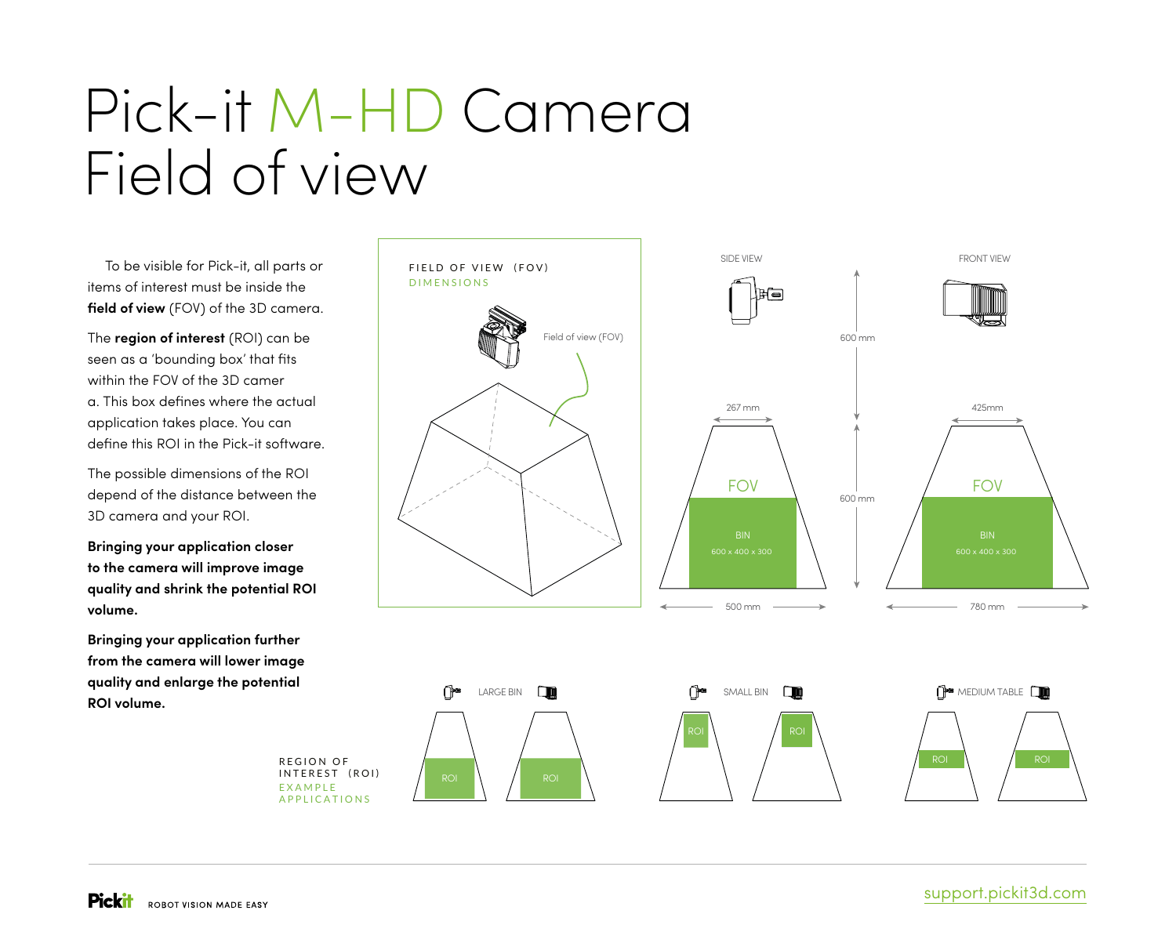## Pick-it M-HD Camera Field of view

To be visible for Pick-it, all parts or items of interest must be inside the **field of view** (FOV) of the 3D camera.

The **region of interest** (ROI) can be seen as a 'bounding box' that fits within the FOV of the 3D camer a. This box defines where the actual application takes place. You can define this ROI in the Pick-it software.

The possible dimensions of the ROI depend of the distance between the 3D camera and your ROI.

**Bringing your application closer to the camera will improve image quality and shrink the potential ROI volume.** 

**Bringing your application further from the camera will lower image quality and enlarge the potential ROI volume.**



EXAMPLE APPLICATIONS INTEREST (ROI)

REGION OF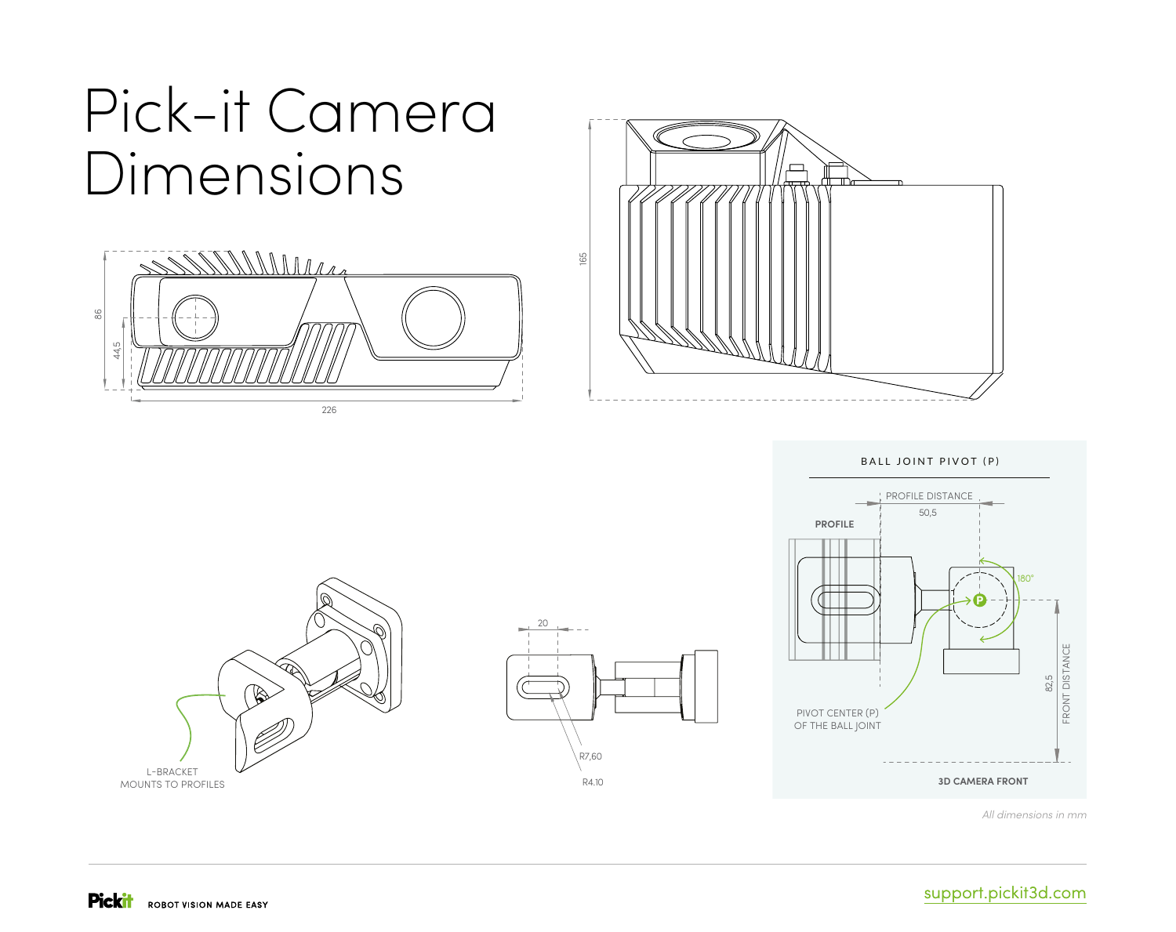## Pick-it Camera Dimensions





BALL JOINT PIVOT (P)



*All dimensions in mm*



![](_page_1_Figure_7.jpeg)

### support.pickit3d.com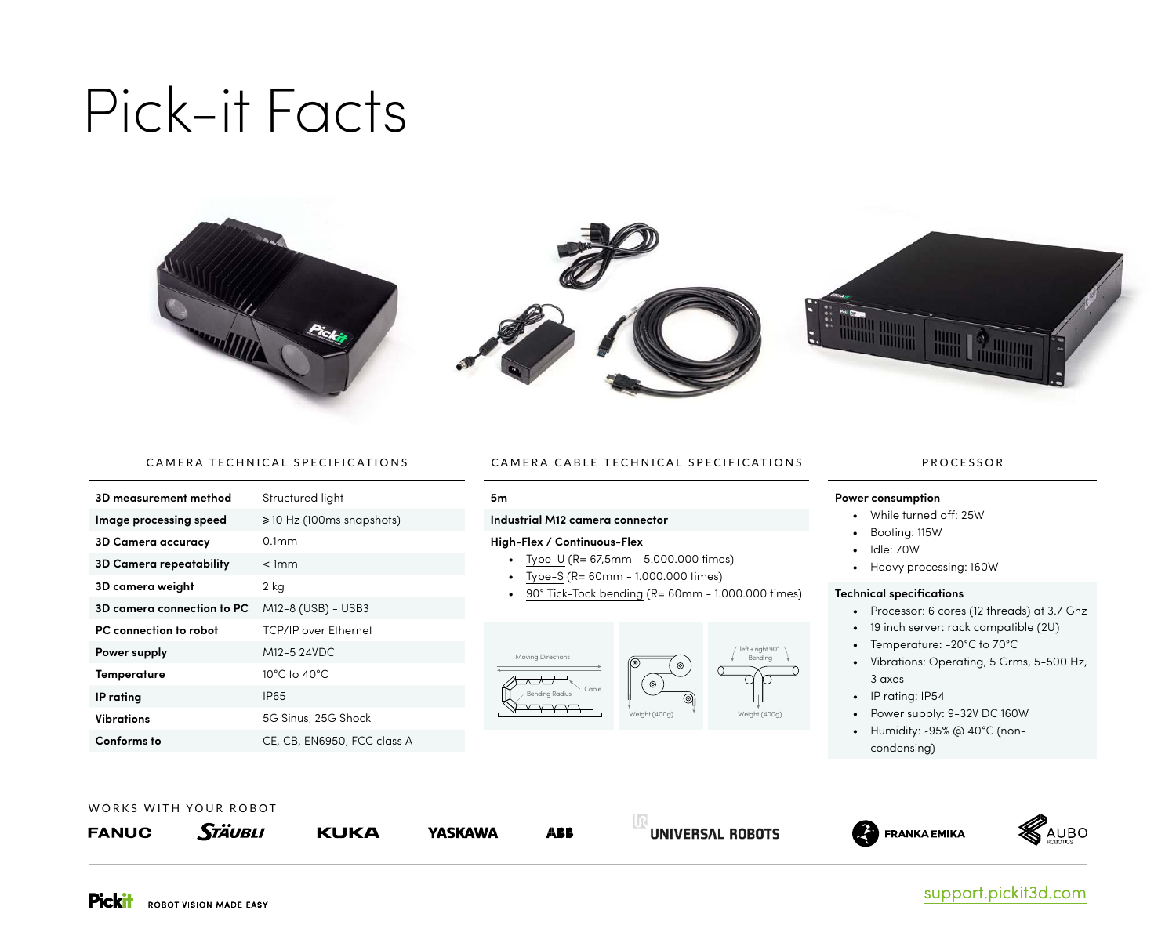## Pick-it Facts

![](_page_2_Picture_1.jpeg)

![](_page_2_Picture_2.jpeg)

![](_page_2_Picture_3.jpeg)

#### CAMERA TECHNICAL SPECIFICATIONS

| 3D measurement method          | Structured light                    |
|--------------------------------|-------------------------------------|
| Image processing speed         | $\geqslant$ 10 Hz (100ms snapshots) |
| <b>3D Camera accuracy</b>      | $0.1$ mm                            |
| <b>3D Camera repeatability</b> | < 1mm                               |
| 3D camera weight               | 2 kg                                |
| 3D camera connection to PC     | M12-8 (USB) - USB3                  |
| PC connection to robot         | <b>TCP/IP over Ethernet</b>         |
| Power supply                   | M12-5 24VDC                         |
| Temperature                    | $10^{\circ}$ C to $40^{\circ}$ C    |
| <b>IP</b> rating               | IP65                                |
| Vibrations                     | 5G Sinus, 25G Shock                 |
| Conforms to                    | CE, CB, EN6950, FCC class A         |

#### CAMERA CABLE TECHNICAL SPECIFICATIONS

#### **5m**

#### **Industrial M12 camera connector**

#### **High-Flex / Continuous-Flex**

- Type-U (R= 67,5mm 5.000.000 times)
- Type-S (R= 60mm 1.000.000 times)
- 90° Tick-Tock bending (R= 60mm 1.000.000 times)

![](_page_2_Figure_13.jpeg)

#### PROCESSOR

#### **Power consumption**

- While turned off: 25W
- Booting: 115W
- Idle: 70W
- Heavy processing: 160W

#### **Technical specifications**

- Processor: 6 cores (12 threads) at 3.7 Ghz
- 19 inch server: rack compatible (2U)
- Temperature: -20°C to 70°C
- Vibrations: Operating, 5 Grms, 5-500 Hz, 3 axes
- IP rating: IP54
- Power supply: 9-32V DC 160W
- Humidity: ~95% @ 40°C (non
	- condensing)

![](_page_2_Picture_29.jpeg)

**STÄUBLI KAUBO FANUC KUKA YASKAWA FRANKA EMIKA ARR** UNIVERSAL ROBOTS

![](_page_2_Picture_31.jpeg)

### support.pickit3d.com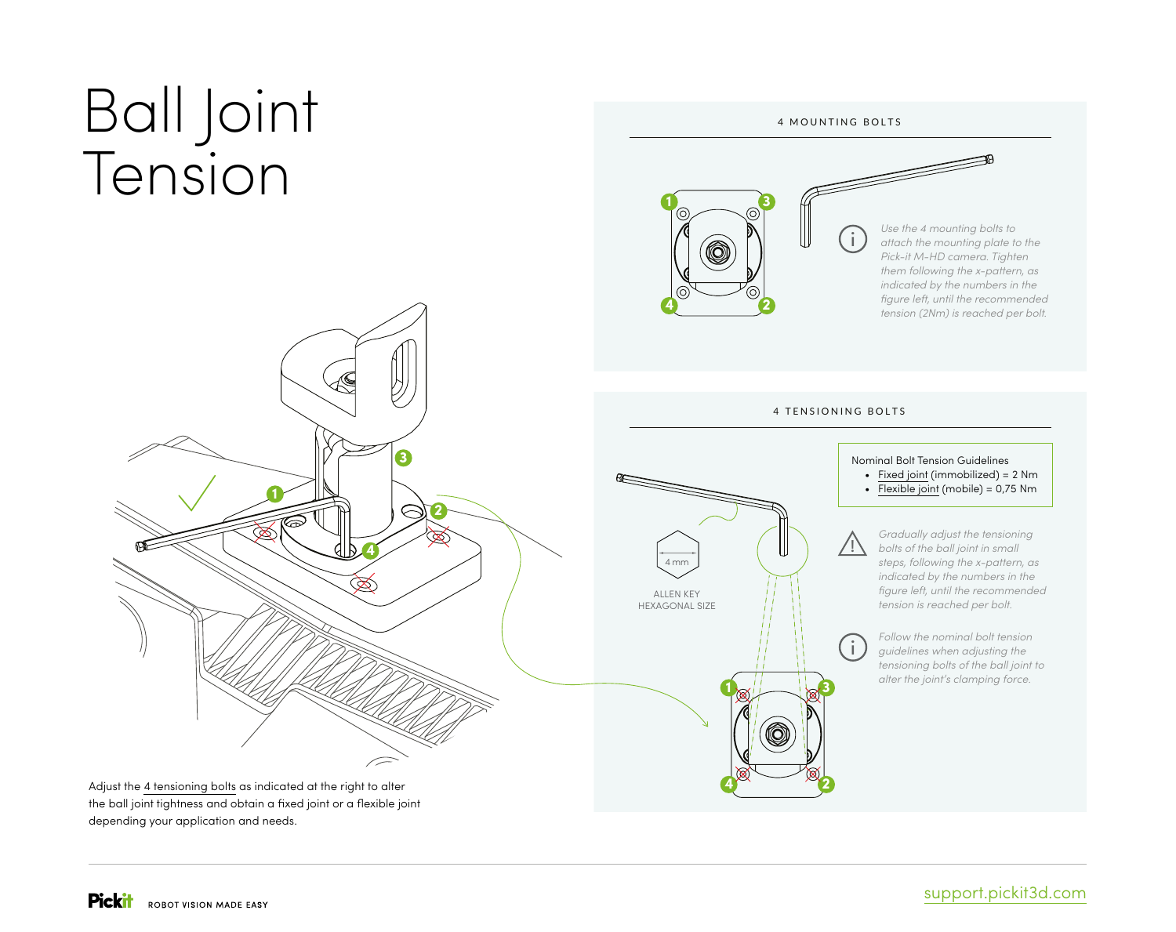# Ball Joint Tension

![](_page_3_Figure_1.jpeg)

Adjust the 4 tensioning bolts as indicated at the right to alter the ball joint tightness and obtain a fixed joint or a flexible joint depending your application and needs.